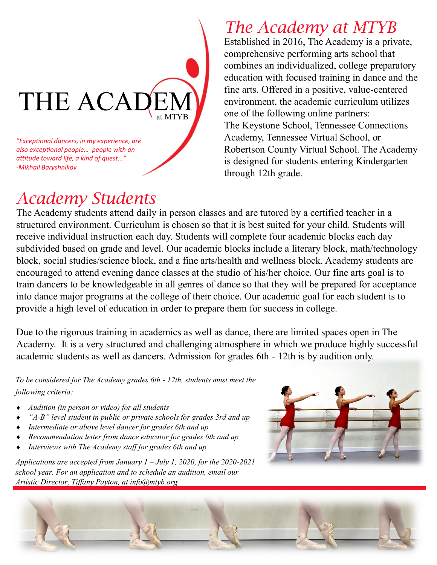

## *Academy Students*

#### *The Academy at MTYB*

Established in 2016, The Academy is a private, comprehensive performing arts school that combines an individualized, college preparatory education with focused training in dance and the fine arts. Offered in a positive, value-centered environment, the academic curriculum utilizes one of the following online partners: The Keystone School, Tennessee Connections Academy, Tennessee Virtual School, or Robertson County Virtual School. The Academy is designed for students entering Kindergarten through 12th grade.

The Academy students attend daily in person classes and are tutored by a certified teacher in a structured environment. Curriculum is chosen so that it is best suited for your child. Students will receive individual instruction each day. Students will complete four academic blocks each day subdivided based on grade and level. Our academic blocks include a literary block, math/technology block, social studies/science block, and a fine arts/health and wellness block. Academy students are encouraged to attend evening dance classes at the studio of his/her choice. Our fine arts goal is to train dancers to be knowledgeable in all genres of dance so that they will be prepared for acceptance into dance major programs at the college of their choice. Our academic goal for each student is to provide a high level of education in order to prepare them for success in college.

Due to the rigorous training in academics as well as dance, there are limited spaces open in The Academy. It is a very structured and challenging atmosphere in which we produce highly successful academic students as well as dancers. Admission for grades 6th - 12th is by audition only.

*To be considered for The Academy grades 6th - 12th, students must meet the following criteria:* 

- *Audition (in person or video) for all students*
- *"A-B" level student in public or private schools for grades 3rd and up*
- *Intermediate or above level dancer for grades 6th and up*
- *Recommendation letter from dance educator for grades 6th and up*
- *Interviews with The Academy staff for grades 6th and up*

*Applications are accepted from January 1 – July 1, 2020, for the 2020-2021 school year. For an application and to schedule an audition, email our Artistic Director, Tiffany Payton, at info@mtyb.org*